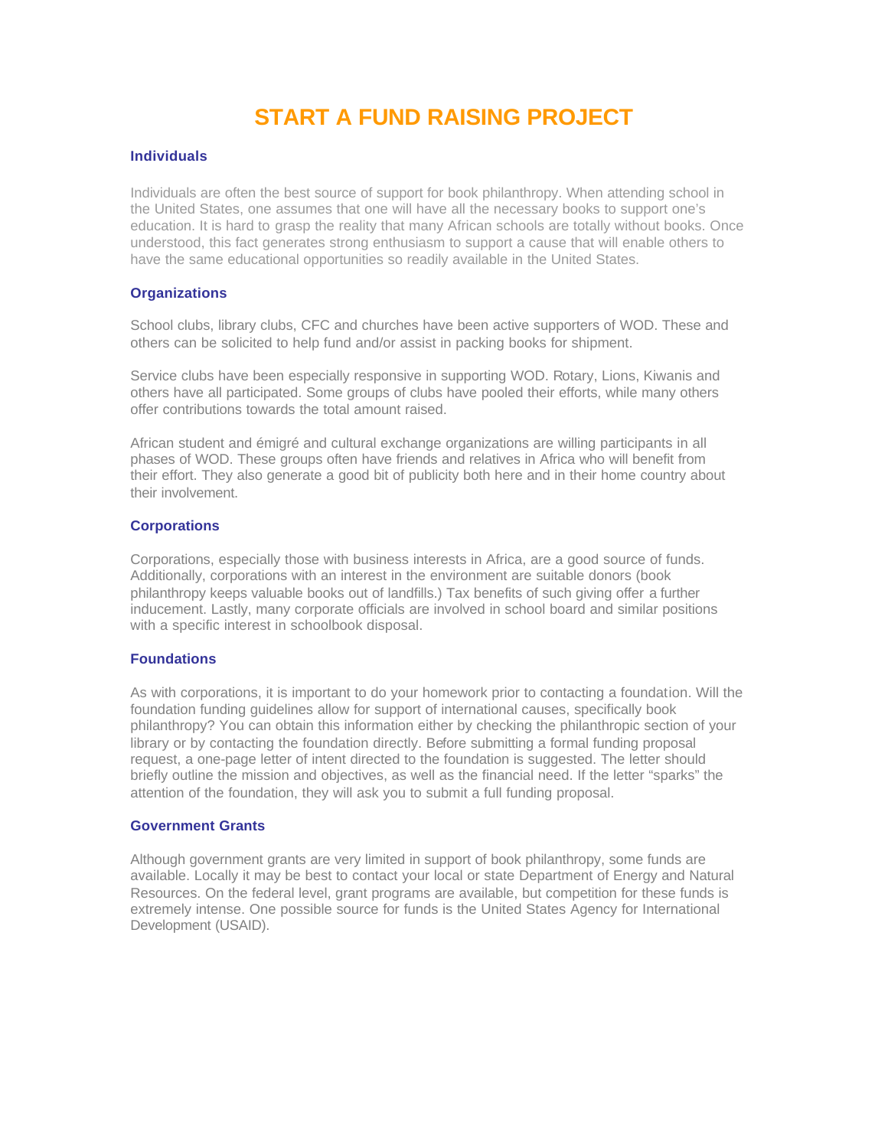# **START A FUND RAISING PROJECT**

## **Individuals**

Individuals are often the best source of support for book philanthropy. When attending school in the United States, one assumes that one will have all the necessary books to support one's education. It is hard to grasp the reality that many African schools are totally without books. Once understood, this fact generates strong enthusiasm to support a cause that will enable others to have the same educational opportunities so readily available in the United States.

## **Organizations**

School clubs, library clubs, CFC and churches have been active supporters of WOD. These and others can be solicited to help fund and/or assist in packing books for shipment.

Service clubs have been especially responsive in supporting WOD. Rotary, Lions, Kiwanis and others have all participated. Some groups of clubs have pooled their efforts, while many others offer contributions towards the total amount raised.

African student and émigré and cultural exchange organizations are willing participants in all phases of WOD. These groups often have friends and relatives in Africa who will benefit from their effort. They also generate a good bit of publicity both here and in their home country about their involvement.

## **Corporations**

Corporations, especially those with business interests in Africa, are a good source of funds. Additionally, corporations with an interest in the environment are suitable donors (book philanthropy keeps valuable books out of landfills.) Tax benefits of such giving offer a further inducement. Lastly, many corporate officials are involved in school board and similar positions with a specific interest in schoolbook disposal.

# **Foundations**

As with corporations, it is important to do your homework prior to contacting a foundation. Will the foundation funding guidelines allow for support of international causes, specifically book philanthropy? You can obtain this information either by checking the philanthropic section of your library or by contacting the foundation directly. Before submitting a formal funding proposal request, a one-page letter of intent directed to the foundation is suggested. The letter should briefly outline the mission and objectives, as well as the financial need. If the letter "sparks" the attention of the foundation, they will ask you to submit a full funding proposal.

#### **Government Grants**

Although government grants are very limited in support of book philanthropy, some funds are available. Locally it may be best to contact your local or state Department of Energy and Natural Resources. On the federal level, grant programs are available, but competition for these funds is extremely intense. One possible source for funds is the United States Agency for International Development (USAID).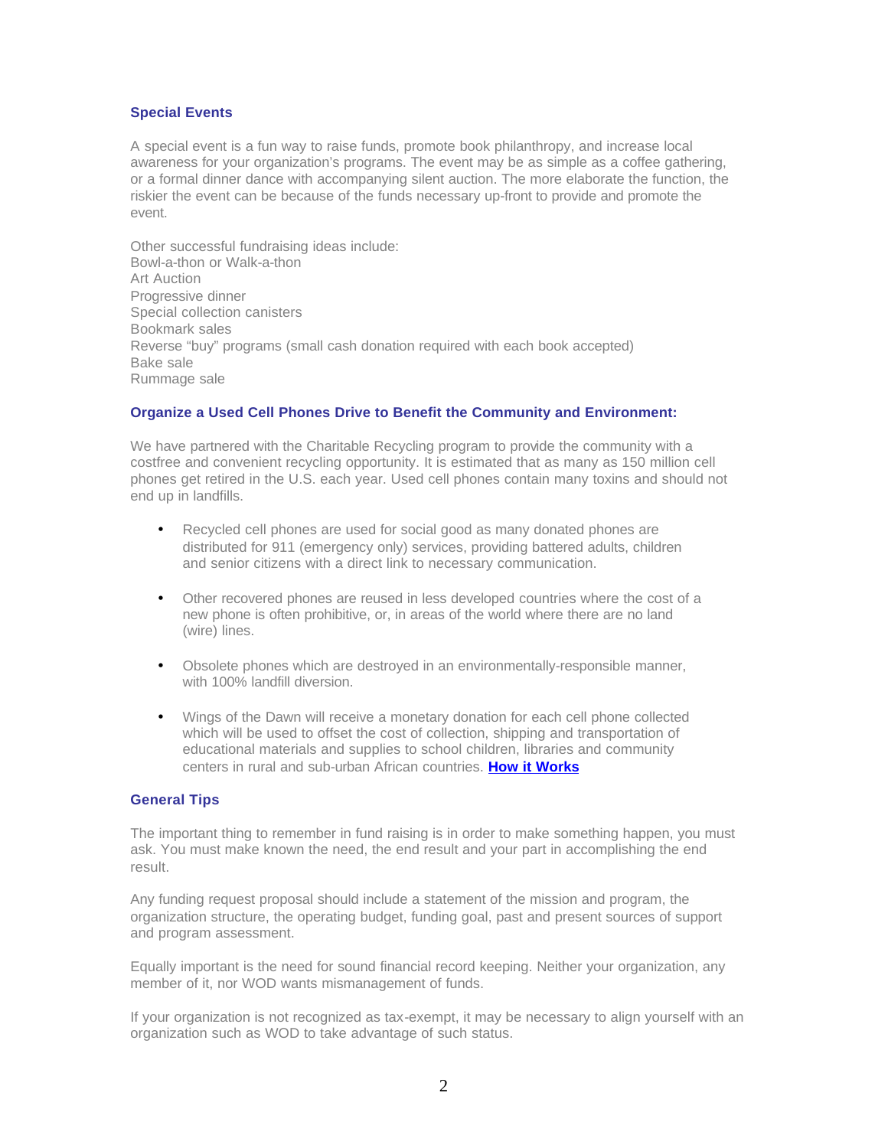# **Special Events**

A special event is a fun way to raise funds, promote book philanthropy, and increase local awareness for your organization's programs. The event may be as simple as a coffee gathering, or a formal dinner dance with accompanying silent auction. The more elaborate the function, the riskier the event can be because of the funds necessary up-front to provide and promote the event.

Other successful fundraising ideas include: Bowl-a-thon or Walk-a-thon Art Auction Progressive dinner Special collection canisters Bookmark sales Reverse "buy" programs (small cash donation required with each book accepted) Bake sale Rummage sale

## **Organize a Used Cell Phones Drive to Benefit the Community and Environment:**

We have partnered with the Charitable Recycling program to provide the community with a costfree and convenient recycling opportunity. It is estimated that as many as 150 million cell phones get retired in the U.S. each year. Used cell phones contain many toxins and should not end up in landfills.

- Recycled cell phones are used for social good as many donated phones are distributed for 911 (emergency only) services, providing battered adults, children and senior citizens with a direct link to necessary communication.
- Other recovered phones are reused in less developed countries where the cost of a new phone is often prohibitive, or, in areas of the world where there are no land (wire) lines.
- Obsolete phones which are destroyed in an environmentally-responsible manner, with 100% landfill diversion.
- Wings of the Dawn will receive a monetary donation for each cell phone collected which will be used to offset the cost of collection, shipping and transportation of educational materials and supplies to school children, libraries and community centers in rural and sub-urban African countries. **[How it Works](http://wingsofthedawn.org/recycle/)**

# **General Tips**

The important thing to remember in fund raising is in order to make something happen, you must ask. You must make known the need, the end result and your part in accomplishing the end result.

Any funding request proposal should include a statement of the mission and program, the organization structure, the operating budget, funding goal, past and present sources of support and program assessment.

Equally important is the need for sound financial record keeping. Neither your organization, any member of it, nor WOD wants mismanagement of funds.

If your organization is not recognized as tax-exempt, it may be necessary to align yourself with an organization such as WOD to take advantage of such status.